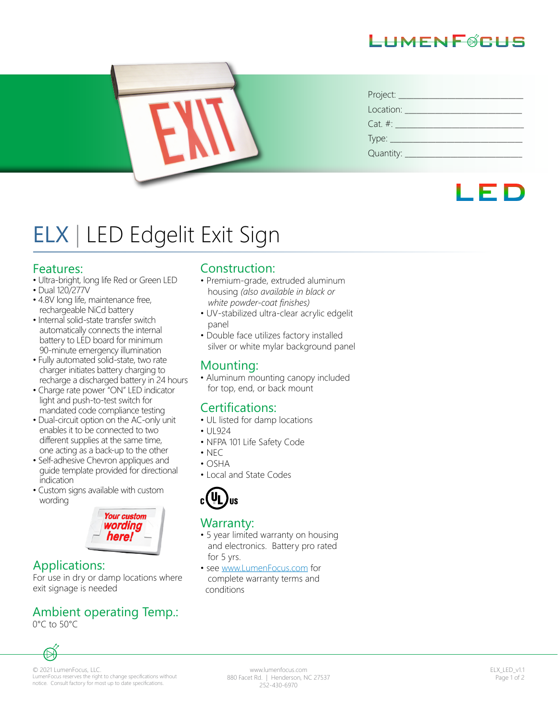



| Project: _ |
|------------|
| Location:  |
| $Cat. \#:$ |
| Type: $\_$ |
| Quantity:  |

## LED

# ELX | LED Edgelit Exit Sign

#### Features:

- Ultra-bright, long life Red or Green LED
- Dual 120/277V
- 4.8V long life, maintenance free, rechargeable NiCd battery
- Internal solid-state transfer switch automatically connects the internal battery to LED board for minimum 90-minute emergency illumination
- Fully automated solid-state, two rate charger initiates battery charging to recharge a discharged battery in 24 hours
- Charge rate power "ON" LED indicator light and push-to-test switch for mandated code compliance testing
- Dual-circuit option on the AC-only unit enables it to be connected to two different supplies at the same time, one acting as a back-up to the other
- Self-adhesive Chevron appliques and guide template provided for directional indication
- Custom signs available with custom wording



#### Applications:

For use in dry or damp locations where exit signage is needed

### Ambient operating Temp.:

0°C to 50°C

#### Construction:

- Premium-grade, extruded aluminum housing *(also available in black or white powder-coat finishes)*
- UV-stabilized ultra-clear acrylic edgelit panel
- Double face utilizes factory installed silver or white mylar background panel

#### Mounting:

• Aluminum mounting canopy included for top, end, or back mount

#### Certifications:

- UL listed for damp locations
- UL924
- NFPA 101 Life Safety Code
- $\cdot$  NFC
- OSHA
- Local and State Codes



#### Warranty:

- 5 year limited warranty on housing and electronics. Battery pro rated for 5 yrs.
- see www.LumenFocus.com for complete warranty terms and conditions



© 2021 LumenFocus, LLC. LumenFocus reserves the right to change specifications without notice. Consult factory for most up to date specifications.

www.lumenfocus.com 880 Facet Rd. | Henderson, NC 27537 252-430-6970